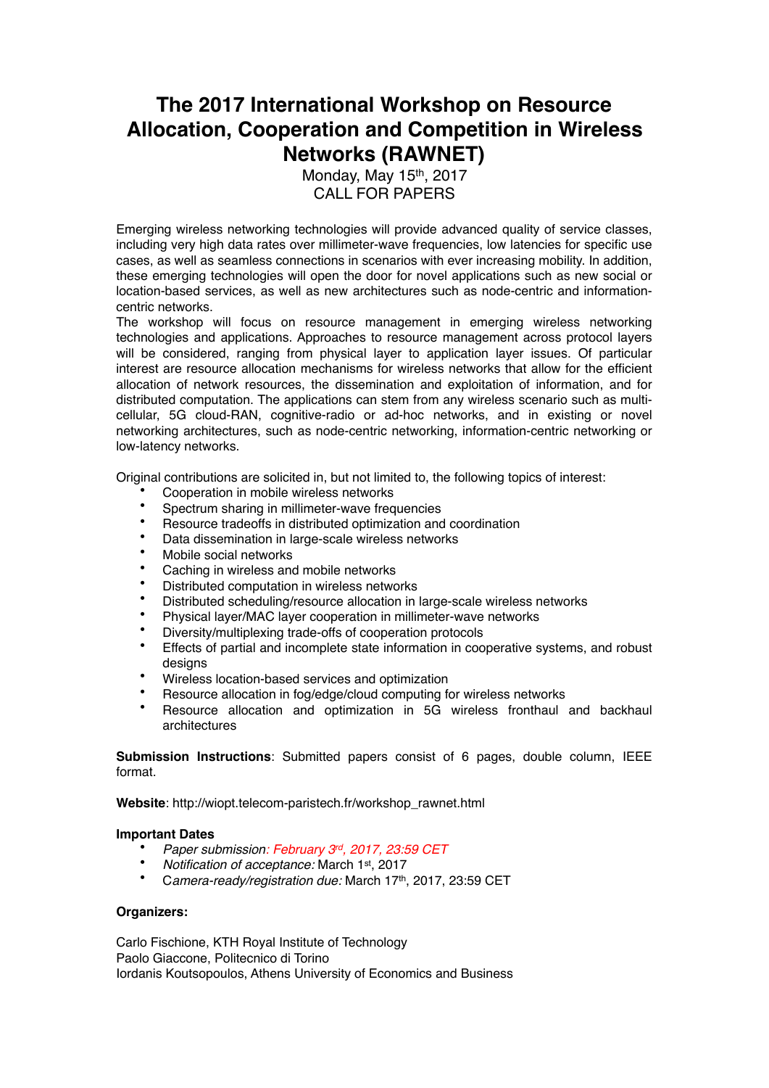## **The 2017 International Workshop on Resource Allocation, Cooperation and Competition in Wireless Networks (RAWNET)**

Monday, May 15<sup>th</sup>, 2017 CALL FOR PAPERS

Emerging wireless networking technologies will provide advanced quality of service classes, including very high data rates over millimeter-wave frequencies, low latencies for specific use cases, as well as seamless connections in scenarios with ever increasing mobility. In addition, these emerging technologies will open the door for novel applications such as new social or location-based services, as well as new architectures such as node-centric and informationcentric networks.

The workshop will focus on resource management in emerging wireless networking technologies and applications. Approaches to resource management across protocol layers will be considered, ranging from physical layer to application layer issues. Of particular interest are resource allocation mechanisms for wireless networks that allow for the efficient allocation of network resources, the dissemination and exploitation of information, and for distributed computation. The applications can stem from any wireless scenario such as multicellular, 5G cloud-RAN, cognitive-radio or ad-hoc networks, and in existing or novel networking architectures, such as node-centric networking, information-centric networking or low-latency networks.

Original contributions are solicited in, but not limited to, the following topics of interest:

- Cooperation in mobile wireless networks
- Spectrum sharing in millimeter-wave frequencies
- Resource tradeoffs in distributed optimization and coordination
- Data dissemination in large-scale wireless networks
- Mobile social networks
- Caching in wireless and mobile networks
- Distributed computation in wireless networks
- Distributed scheduling/resource allocation in large-scale wireless networks
- Physical layer/MAC layer cooperation in millimeter-wave networks
- Diversity/multiplexing trade-offs of cooperation protocols
- Effects of partial and incomplete state information in cooperative systems, and robust designs
- Wireless location-based services and optimization
- Resource allocation in fog/edge/cloud computing for wireless networks
- Resource allocation and optimization in 5G wireless fronthaul and backhaul architectures

**Submission Instructions**: Submitted papers consist of 6 pages, double column, IEEE format.

**Website**: http://wiopt.telecom-paristech.fr/workshop\_rawnet.html

## **Important Dates**

- *Paper submission: February 3rd, 2017, 23:59 CET*
- *Notification of acceptance:* March 1st, 2017
- C*amera-ready/registration due:* March 17th, 2017, 23:59 CET

## **Organizers:**

Carlo Fischione, KTH Royal Institute of Technology Paolo Giaccone, Politecnico di Torino Iordanis Koutsopoulos, Athens University of Economics and Business